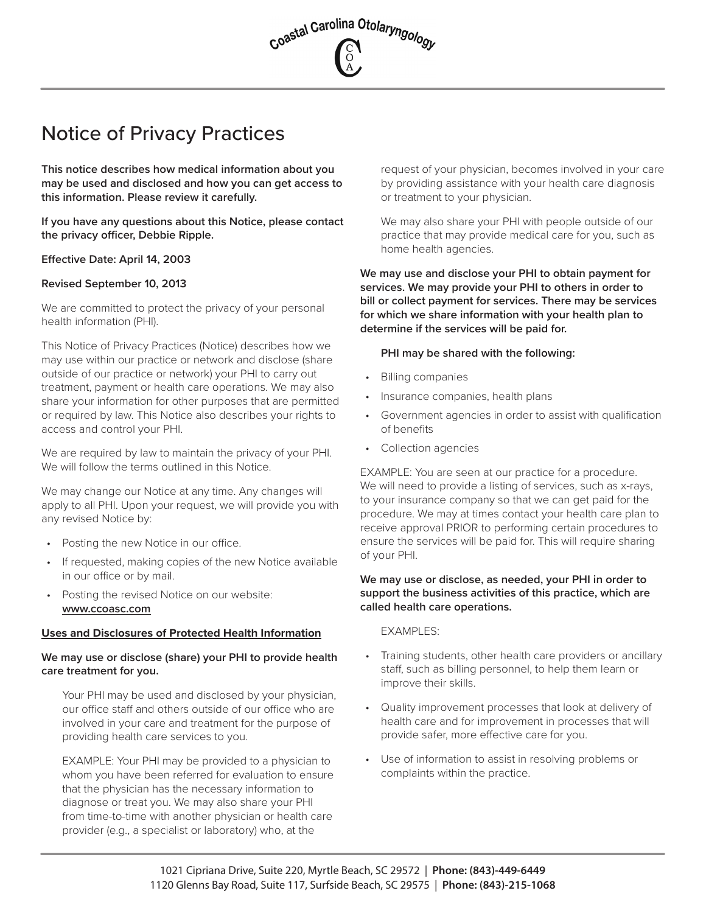

# Notice of Privacy Practices

**This notice describes how medical information about you may be used and disclosed and how you can get access to this information. Please review it carefully.**

**If you have any questions about this Notice, please contact the privacy officer, Debbie Ripple.**

## **Effective Date: April 14, 2003**

## **Revised September 10, 2013**

We are committed to protect the privacy of your personal health information (PHI).

This Notice of Privacy Practices (Notice) describes how we may use within our practice or network and disclose (share outside of our practice or network) your PHI to carry out treatment, payment or health care operations. We may also share your information for other purposes that are permitted or required by law. This Notice also describes your rights to access and control your PHI.

We are required by law to maintain the privacy of your PHI. We will follow the terms outlined in this Notice.

We may change our Notice at any time. Any changes will apply to all PHI. Upon your request, we will provide you with any revised Notice by:

- Posting the new Notice in our office.
- If requested, making copies of the new Notice available in our office or by mail.
- Posting the revised Notice on our website: **www.ccoasc.com**

#### **Uses and Disclosures of Protected Health Information**

## **We may use or disclose (share) your PHI to provide health care treatment for you.**

Your PHI may be used and disclosed by your physician, our office staff and others outside of our office who are involved in your care and treatment for the purpose of providing health care services to you.

EXAMPLE: Your PHI may be provided to a physician to whom you have been referred for evaluation to ensure that the physician has the necessary information to diagnose or treat you. We may also share your PHI from time-to-time with another physician or health care provider (e.g., a specialist or laboratory) who, at the

request of your physician, becomes involved in your care by providing assistance with your health care diagnosis or treatment to your physician.

We may also share your PHI with people outside of our practice that may provide medical care for you, such as home health agencies.

**We may use and disclose your PHI to obtain payment for services. We may provide your PHI to others in order to bill or collect payment for services. There may be services for which we share information with your health plan to determine if the services will be paid for.**

#### **PHI may be shared with the following:**

- Billing companies
- Insurance companies, health plans
- Government agencies in order to assist with qualification of benefits
- Collection agencies

EXAMPLE: You are seen at our practice for a procedure. We will need to provide a listing of services, such as x-rays, to your insurance company so that we can get paid for the procedure. We may at times contact your health care plan to receive approval PRIOR to performing certain procedures to ensure the services will be paid for. This will require sharing of your PHI.

## **We may use or disclose, as needed, your PHI in order to support the business activities of this practice, which are called health care operations.**

EXAMPLES:

- Training students, other health care providers or ancillary staff, such as billing personnel, to help them learn or improve their skills.
- Quality improvement processes that look at delivery of health care and for improvement in processes that will provide safer, more effective care for you.
- Use of information to assist in resolving problems or complaints within the practice.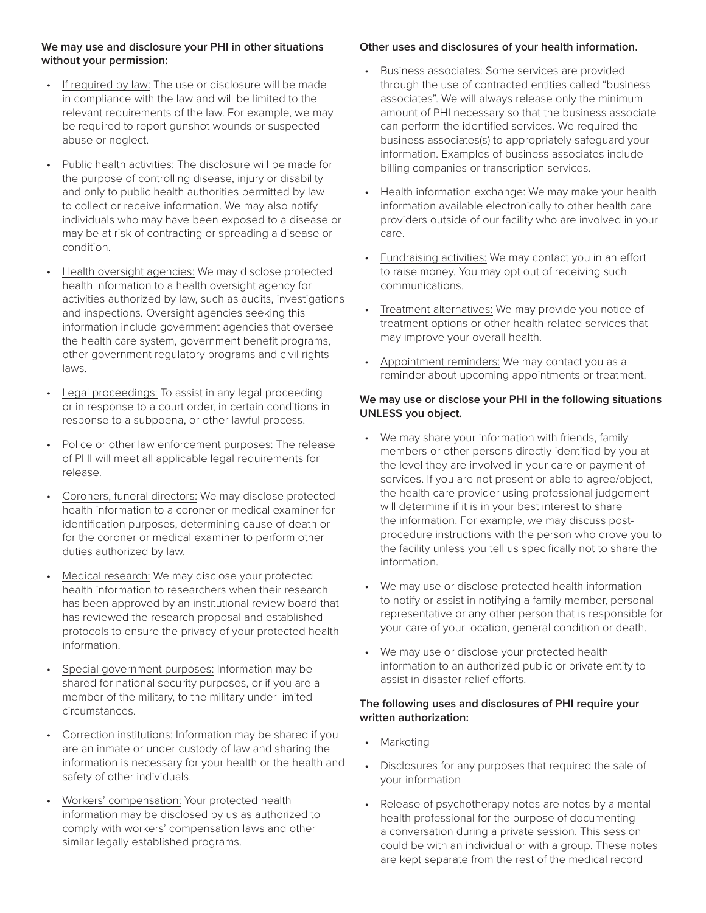# **We may use and disclosure your PHI in other situations without your permission:**

- If required by law: The use or disclosure will be made in compliance with the law and will be limited to the relevant requirements of the law. For example, we may be required to report gunshot wounds or suspected abuse or neglect.
- Public health activities: The disclosure will be made for the purpose of controlling disease, injury or disability and only to public health authorities permitted by law to collect or receive information. We may also notify individuals who may have been exposed to a disease or may be at risk of contracting or spreading a disease or condition.
- Health oversight agencies: We may disclose protected health information to a health oversight agency for activities authorized by law, such as audits, investigations and inspections. Oversight agencies seeking this information include government agencies that oversee the health care system, government benefit programs, other government regulatory programs and civil rights laws.
- Legal proceedings: To assist in any legal proceeding or in response to a court order, in certain conditions in response to a subpoena, or other lawful process.
- Police or other law enforcement purposes: The release of PHI will meet all applicable legal requirements for release.
- Coroners, funeral directors: We may disclose protected health information to a coroner or medical examiner for identification purposes, determining cause of death or for the coroner or medical examiner to perform other duties authorized by law.
- Medical research: We may disclose your protected health information to researchers when their research has been approved by an institutional review board that has reviewed the research proposal and established protocols to ensure the privacy of your protected health information.
- Special government purposes: Information may be shared for national security purposes, or if you are a member of the military, to the military under limited circumstances.
- Correction institutions: Information may be shared if you are an inmate or under custody of law and sharing the information is necessary for your health or the health and safety of other individuals.
- Workers' compensation: Your protected health information may be disclosed by us as authorized to comply with workers' compensation laws and other similar legally established programs.

# **Other uses and disclosures of your health information.**

- Business associates: Some services are provided through the use of contracted entities called "business associates". We will always release only the minimum amount of PHI necessary so that the business associate can perform the identified services. We required the business associates(s) to appropriately safeguard your information. Examples of business associates include billing companies or transcription services.
- Health information exchange: We may make your health information available electronically to other health care providers outside of our facility who are involved in your care.
- Fundraising activities: We may contact you in an effort to raise money. You may opt out of receiving such communications.
- Treatment alternatives: We may provide you notice of treatment options or other health-related services that may improve your overall health.
- Appointment reminders: We may contact you as a reminder about upcoming appointments or treatment.

# **We may use or disclose your PHI in the following situations UNLESS you object.**

- We may share your information with friends, family members or other persons directly identified by you at the level they are involved in your care or payment of services. If you are not present or able to agree/object, the health care provider using professional judgement will determine if it is in your best interest to share the information. For example, we may discuss postprocedure instructions with the person who drove you to the facility unless you tell us specifically not to share the information.
- We may use or disclose protected health information to notify or assist in notifying a family member, personal representative or any other person that is responsible for your care of your location, general condition or death.
- We may use or disclose your protected health information to an authorized public or private entity to assist in disaster relief efforts.

#### **The following uses and disclosures of PHI require your written authorization:**

- Marketing
- Disclosures for any purposes that required the sale of your information
- Release of psychotherapy notes are notes by a mental health professional for the purpose of documenting a conversation during a private session. This session could be with an individual or with a group. These notes are kept separate from the rest of the medical record